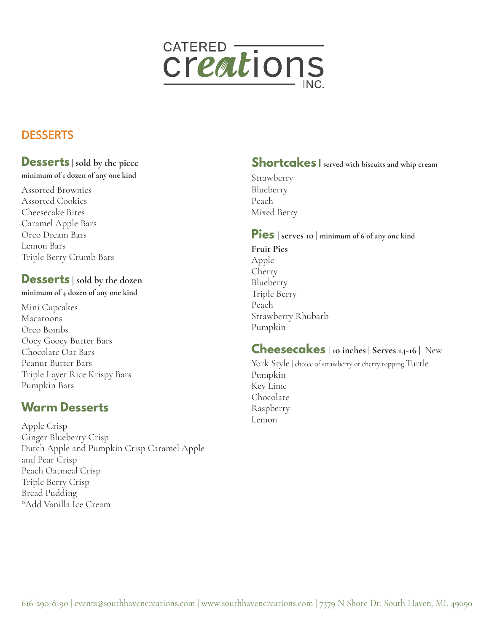

# **DESSERTS**

## **Desserts | sold by the piece**

**minimum of 1 dozen of any one kind** 

Assorted Brownies Assorted Cookies Cheesecake Bites Caramel Apple Bars Oreo Dream Bars Lemon Bars Triple Berry Crumb Bars

### **Desserts** | **sold by the dozen**

**minimum of 4 dozen of any one kind** 

Mini Cupcakes Macaroons Oreo Bombs Ooey Gooey Butter Bars Chocolate Oat Bars Peanut Butter Bars Triple Layer Rice Krispy Bars Pumpkin Bars

# **Warm Desserts**

Apple Crisp Ginger Blueberry Crisp Dutch Apple and Pumpkin Crisp Caramel Apple and Pear Crisp Peach Oatmeal Crisp Triple Berry Crisp Bread Pudding \*Add Vanilla Ice Cream

## **Shortcakes | served with biscuits and whip cream**

Strawberry Blueberry Peach Mixed Berry

**Pies | serves 10 | minimum of 6 of any one kind**

**Fruit Pies**  Apple Cherry Blueberry Triple Berry Peach Strawberry Rhubarb Pumpkin

### **Cheesecakes | 10 inches | Serves 14-16 |** New

York Style | choice of strawberry or cherry topping Turtle Pumpkin Key Lime Chocolate Raspberry Lemon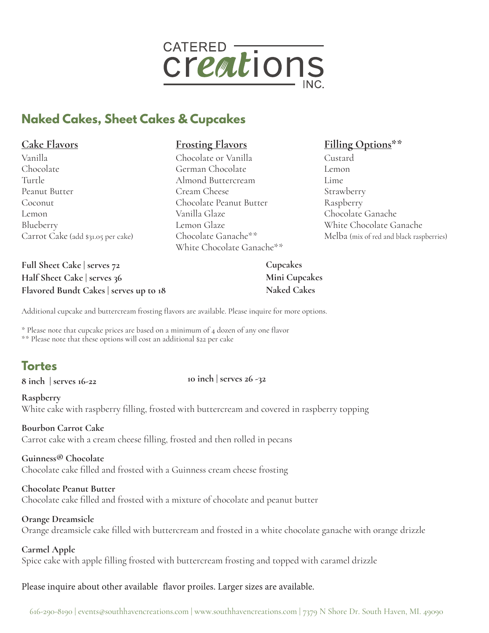

## **Naked Cakes, Sheet Cakes & Cupcakes**

#### **Cake Flavors**

Vanilla Chocolate Turtle Peanut Butter Coconut Lemon Blueberry Carrot Cake (add \$31.05 per cake)

**Full Sheet Cake | serves 72 Half Sheet Cake | serves 36 Flavored Bundt Cakes | serves up to 18**

#### **Frosting Flavors**

Chocolate or Vanilla German Chocolate Almond Buttercream Cream Cheese Chocolate Peanut Butter Vanilla Glaze Lemon Glaze Chocolate Ganache\*\* White Chocolate Ganache\*\*

#### **Filling Options\*\***

Custard Lemon Lime Strawberry Raspberry Chocolate Ganache White Chocolate Ganache Melba (mix of red and black raspberries)

**Cupcakes Mini Cupcakes Naked Cakes** 

Additional cupcake and buttercream frosting flavors are available. Please inquire for more options.

\* Please note that cupcake prices are based on a minimum of 4 dozen of any one flavor \*\* Please note that these options will cost an additional \$22 per cake

# **Tortes**

**8 inch | serves 16-22 10 inch | serves 26 -32** 

**Raspberry** White cake with raspberry filling, frosted with buttercream and covered in raspberry topping

**Bourbon Carrot Cake** Carrot cake with a cream cheese filling, frosted and then rolled in pecans

**Guinness® Chocolate** Chocolate cake filled and frosted with a Guinness cream cheese frosting

**Chocolate Peanut Butter** Chocolate cake filled and frosted with a mixture of chocolate and peanut butter

#### **Orange Dreamsicle**

Orange dreamsicle cake filled with buttercream and frosted in a white chocolate ganache with orange drizzle

**Carmel Apple**

Spice cake with apple filling frosted with buttercream frosting and topped with caramel drizzle

Please inquire about other available flavor proiles. Larger sizes are available.

616-290-8190 | events@southhavencreations.com | www.southhavencreations.com | 7379 N Shore Dr. South Haven, MI. 49090